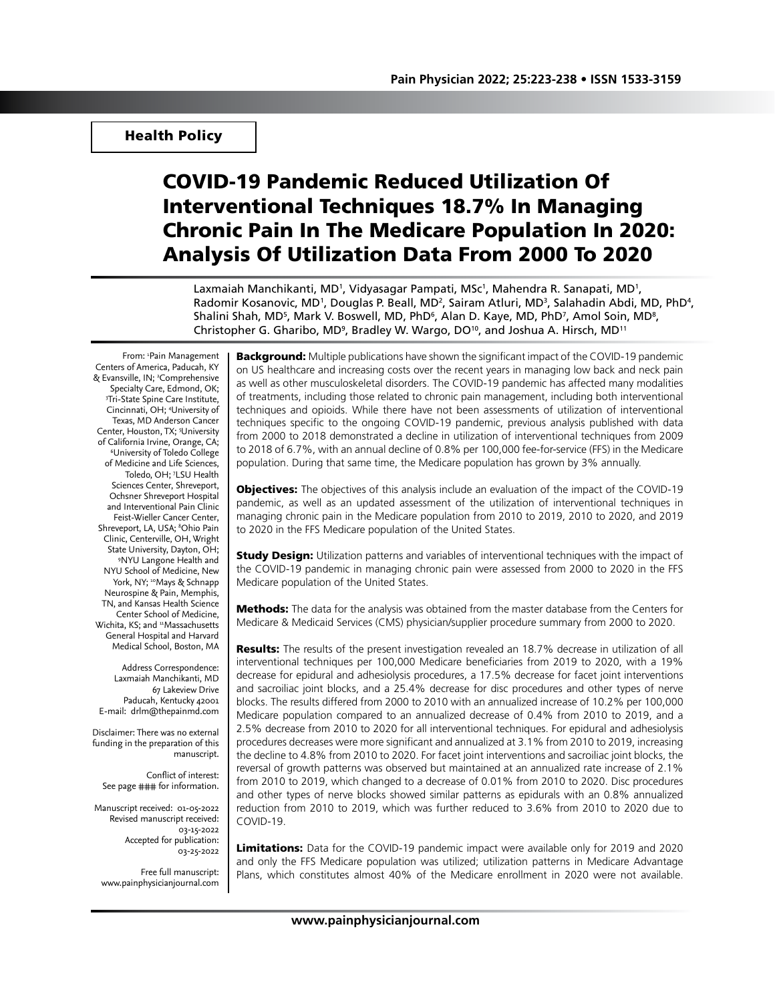# Health Policy

# COVID-19 Pandemic Reduced Utilization Of Interventional Techniques 18.7% In Managing Chronic Pain In The Medicare Population In 2020: Analysis Of Utilization Data From 2000 To 2020

Laxmaiah Manchikanti, MD<sup>1</sup>, Vidyasagar Pampati, MSc<sup>1</sup>, Mahendra R. Sanapati, MD<sup>1</sup>, Radomir Kosanovic, MD<sup>1</sup>, Douglas P. Beall, MD<sup>2</sup>, Sairam Atluri, MD<sup>3</sup>, Salahadin Abdi, MD, PhD<sup>4</sup>, Shalini Shah, MD<sup>5</sup>, Mark V. Boswell, MD, PhD<sup>6</sup>, Alan D. Kaye, MD, PhD<sup>7</sup>, Amol Soin, MD<sup>8</sup>, Christopher G. Gharibo, MD<sup>9</sup>, Bradley W. Wargo, DO<sup>10</sup>, and Joshua A. Hirsch, MD<sup>11</sup>

From: **Pain Management** Centers of America, Paducah, KY & Evansville, IN; <sup>2</sup>Comprehensive Specialty Care, Edmond, OK; 3 Tri-State Spine Care Institute, Cincinnati, OH; 4 University of Texas, MD Anderson Cancer Center, Houston, TX; <sup>5</sup>University of California Irvine, Orange, CA; University of Toledo College of Medicine and Life Sciences, Toledo, OH; 7 LSU Health Sciences Center, Shreveport, Ochsner Shreveport Hospital and Interventional Pain Clinic Feist-Wieller Cancer Center, Shreveport, LA, USA; <sup>8</sup>Ohio Pain Clinic, Centerville, OH, Wright State University, Dayton, OH; 9 NYU Langone Health and NYU School of Medicine, New York, NY; <sup>10</sup>Mays & Schnapp Neurospine & Pain, Memphis, TN, and Kansas Health Science Center School of Medicine, Wichita, KS; and <sup>11</sup>Massachusetts General Hospital and Harvard Medical School, Boston, MA

Address Correspondence: Laxmaiah Manchikanti, MD 67 Lakeview Drive Paducah, Kentucky 42001 E-mail: drlm@thepainmd.com

Disclaimer: There was no external funding in the preparation of this manuscript.

Conflict of interest: See page ### for information.

Manuscript received: 01-05-2022 Revised manuscript received: 03-15-2022 Accepted for publication: 03-25-2022

Free full manuscript: www.painphysicianjournal.com **Background:** Multiple publications have shown the significant impact of the COVID-19 pandemic on US healthcare and increasing costs over the recent years in managing low back and neck pain as well as other musculoskeletal disorders. The COVID-19 pandemic has affected many modalities of treatments, including those related to chronic pain management, including both interventional techniques and opioids. While there have not been assessments of utilization of interventional techniques specific to the ongoing COVID-19 pandemic, previous analysis published with data from 2000 to 2018 demonstrated a decline in utilization of interventional techniques from 2009 to 2018 of 6.7%, with an annual decline of 0.8% per 100,000 fee-for-service (FFS) in the Medicare population. During that same time, the Medicare population has grown by 3% annually.

**Objectives:** The objectives of this analysis include an evaluation of the impact of the COVID-19 pandemic, as well as an updated assessment of the utilization of interventional techniques in managing chronic pain in the Medicare population from 2010 to 2019, 2010 to 2020, and 2019 to 2020 in the FFS Medicare population of the United States.

**Study Design:** Utilization patterns and variables of interventional techniques with the impact of the COVID-19 pandemic in managing chronic pain were assessed from 2000 to 2020 in the FFS Medicare population of the United States.

**Methods:** The data for the analysis was obtained from the master database from the Centers for Medicare & Medicaid Services (CMS) physician/supplier procedure summary from 2000 to 2020.

**Results:** The results of the present investigation revealed an 18.7% decrease in utilization of all interventional techniques per 100,000 Medicare beneficiaries from 2019 to 2020, with a 19% decrease for epidural and adhesiolysis procedures, a 17.5% decrease for facet joint interventions and sacroiliac joint blocks, and a 25.4% decrease for disc procedures and other types of nerve blocks. The results differed from 2000 to 2010 with an annualized increase of 10.2% per 100,000 Medicare population compared to an annualized decrease of 0.4% from 2010 to 2019, and a 2.5% decrease from 2010 to 2020 for all interventional techniques. For epidural and adhesiolysis procedures decreases were more significant and annualized at 3.1% from 2010 to 2019, increasing the decline to 4.8% from 2010 to 2020. For facet joint interventions and sacroiliac joint blocks, the reversal of growth patterns was observed but maintained at an annualized rate increase of 2.1% from 2010 to 2019, which changed to a decrease of 0.01% from 2010 to 2020. Disc procedures and other types of nerve blocks showed similar patterns as epidurals with an 0.8% annualized reduction from 2010 to 2019, which was further reduced to 3.6% from 2010 to 2020 due to COVID-19.

Limitations: Data for the COVID-19 pandemic impact were available only for 2019 and 2020 and only the FFS Medicare population was utilized; utilization patterns in Medicare Advantage Plans, which constitutes almost 40% of the Medicare enrollment in 2020 were not available.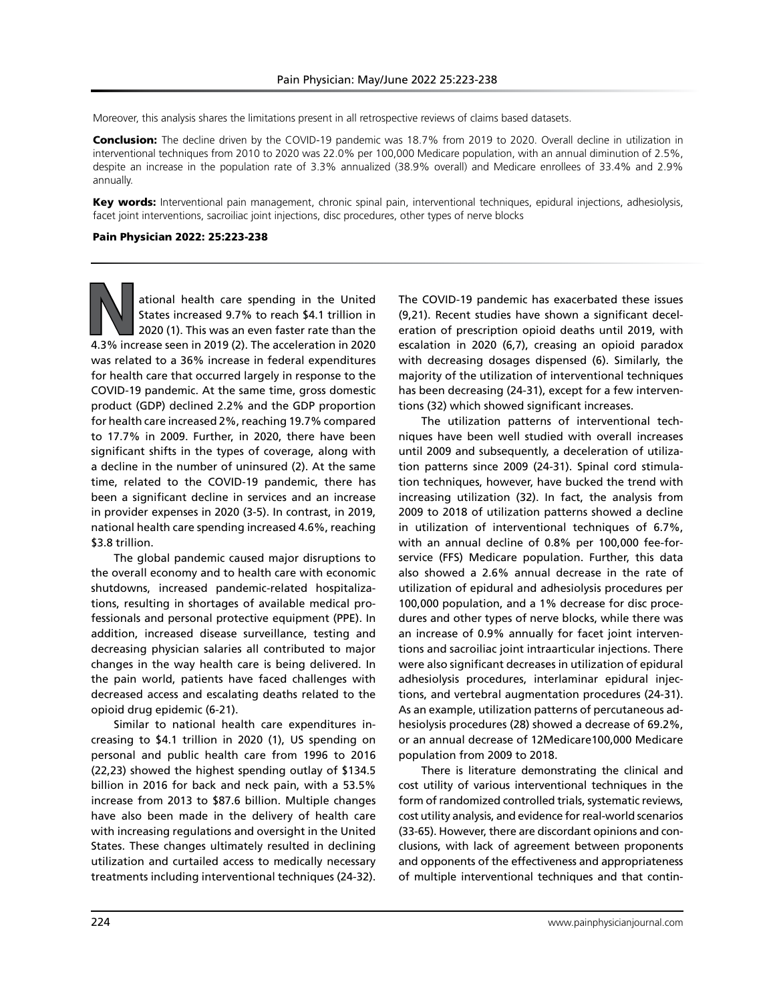Moreover, this analysis shares the limitations present in all retrospective reviews of claims based datasets.

Conclusion: The decline driven by the COVID-19 pandemic was 18.7% from 2019 to 2020. Overall decline in utilization in interventional techniques from 2010 to 2020 was 22.0% per 100,000 Medicare population, with an annual diminution of 2.5%, despite an increase in the population rate of 3.3% annualized (38.9% overall) and Medicare enrollees of 33.4% and 2.9% annually.

Key words: Interventional pain management, chronic spinal pain, interventional techniques, epidural injections, adhesiolysis, facet joint interventions, sacroiliac joint injections, disc procedures, other types of nerve blocks

#### Pain Physician 2022: 25:223-238

**N**ational health care spending in the United States increased 9.7% to reach \$4.1 trillion in 2020 (1). This was an even faster rate than the 4.3% increase seen in 2019 (2). The acceleration in 2020 was related to a 36% increase in federal expenditures for health care that occurred largely in response to the COVID-19 pandemic. At the same time, gross domestic product (GDP) declined 2.2% and the GDP proportion for health care increased 2%, reaching 19.7% compared to 17.7% in 2009. Further, in 2020, there have been significant shifts in the types of coverage, along with a decline in the number of uninsured (2). At the same time, related to the COVID-19 pandemic, there has been a significant decline in services and an increase in provider expenses in 2020 (3-5). In contrast, in 2019, national health care spending increased 4.6%, reaching \$3.8 trillion.

The global pandemic caused major disruptions to the overall economy and to health care with economic shutdowns, increased pandemic-related hospitalizations, resulting in shortages of available medical professionals and personal protective equipment (PPE). In addition, increased disease surveillance, testing and decreasing physician salaries all contributed to major changes in the way health care is being delivered. In the pain world, patients have faced challenges with decreased access and escalating deaths related to the opioid drug epidemic (6-21).

Similar to national health care expenditures increasing to \$4.1 trillion in 2020 (1), US spending on personal and public health care from 1996 to 2016 (22,23) showed the highest spending outlay of \$134.5 billion in 2016 for back and neck pain, with a 53.5% increase from 2013 to \$87.6 billion. Multiple changes have also been made in the delivery of health care with increasing regulations and oversight in the United States. These changes ultimately resulted in declining utilization and curtailed access to medically necessary treatments including interventional techniques (24-32).

The COVID-19 pandemic has exacerbated these issues (9,21). Recent studies have shown a significant deceleration of prescription opioid deaths until 2019, with escalation in 2020 (6,7), creasing an opioid paradox with decreasing dosages dispensed (6). Similarly, the majority of the utilization of interventional techniques has been decreasing (24-31), except for a few interventions (32) which showed significant increases.

The utilization patterns of interventional techniques have been well studied with overall increases until 2009 and subsequently, a deceleration of utilization patterns since 2009 (24-31). Spinal cord stimulation techniques, however, have bucked the trend with increasing utilization (32). In fact, the analysis from 2009 to 2018 of utilization patterns showed a decline in utilization of interventional techniques of 6.7%, with an annual decline of 0.8% per 100,000 fee-forservice (FFS) Medicare population. Further, this data also showed a 2.6% annual decrease in the rate of utilization of epidural and adhesiolysis procedures per 100,000 population, and a 1% decrease for disc procedures and other types of nerve blocks, while there was an increase of 0.9% annually for facet joint interventions and sacroiliac joint intraarticular injections. There were also significant decreases in utilization of epidural adhesiolysis procedures, interlaminar epidural injections, and vertebral augmentation procedures (24-31). As an example, utilization patterns of percutaneous adhesiolysis procedures (28) showed a decrease of 69.2%, or an annual decrease of 12Medicare100,000 Medicare population from 2009 to 2018.

There is literature demonstrating the clinical and cost utility of various interventional techniques in the form of randomized controlled trials, systematic reviews, cost utility analysis, and evidence for real-world scenarios (33-65). However, there are discordant opinions and conclusions, with lack of agreement between proponents and opponents of the effectiveness and appropriateness of multiple interventional techniques and that contin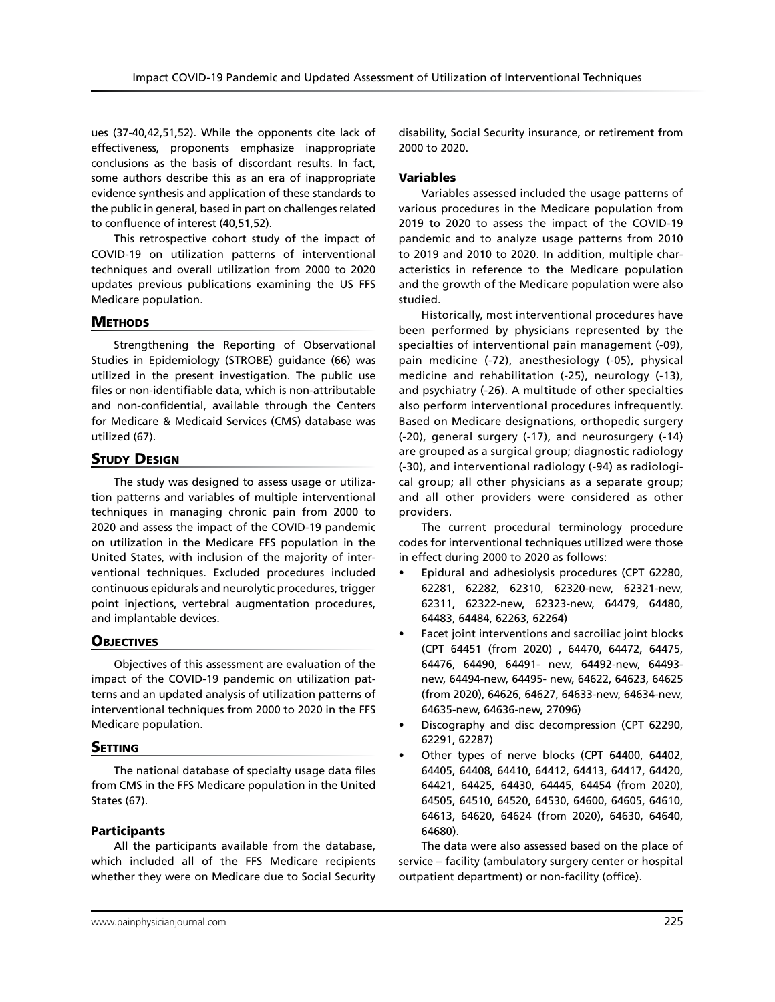ues (37-40,42,51,52). While the opponents cite lack of effectiveness, proponents emphasize inappropriate conclusions as the basis of discordant results. In fact, some authors describe this as an era of inappropriate evidence synthesis and application of these standards to the public in general, based in part on challenges related to confluence of interest (40,51,52).

This retrospective cohort study of the impact of COVID-19 on utilization patterns of interventional techniques and overall utilization from 2000 to 2020 updates previous publications examining the US FFS Medicare population.

# **METHODS**

Strengthening the Reporting of Observational Studies in Epidemiology (STROBE) guidance (66) was utilized in the present investigation. The public use files or non-identifiable data, which is non-attributable and non-confidential, available through the Centers for Medicare & Medicaid Services (CMS) database was utilized (67).

# **STUDY DESIGN**

The study was designed to assess usage or utilization patterns and variables of multiple interventional techniques in managing chronic pain from 2000 to 2020 and assess the impact of the COVID-19 pandemic on utilization in the Medicare FFS population in the United States, with inclusion of the majority of interventional techniques. Excluded procedures included continuous epidurals and neurolytic procedures, trigger point injections, vertebral augmentation procedures, and implantable devices.

# **OBJECTIVES**

Objectives of this assessment are evaluation of the impact of the COVID-19 pandemic on utilization patterns and an updated analysis of utilization patterns of interventional techniques from 2000 to 2020 in the FFS Medicare population.

# **SETTING**

The national database of specialty usage data files from CMS in the FFS Medicare population in the United States (67).

# Participants

All the participants available from the database, which included all of the FFS Medicare recipients whether they were on Medicare due to Social Security disability, Social Security insurance, or retirement from 2000 to 2020.

# Variables

Variables assessed included the usage patterns of various procedures in the Medicare population from 2019 to 2020 to assess the impact of the COVID-19 pandemic and to analyze usage patterns from 2010 to 2019 and 2010 to 2020. In addition, multiple characteristics in reference to the Medicare population and the growth of the Medicare population were also studied.

Historically, most interventional procedures have been performed by physicians represented by the specialties of interventional pain management (-09), pain medicine (-72), anesthesiology (-05), physical medicine and rehabilitation (-25), neurology (-13), and psychiatry (-26). A multitude of other specialties also perform interventional procedures infrequently. Based on Medicare designations, orthopedic surgery (-20), general surgery (-17), and neurosurgery (-14) are grouped as a surgical group; diagnostic radiology (-30), and interventional radiology (-94) as radiological group; all other physicians as a separate group; and all other providers were considered as other providers.

The current procedural terminology procedure codes for interventional techniques utilized were those in effect during 2000 to 2020 as follows:

- Epidural and adhesiolysis procedures (CPT 62280, 62281, 62282, 62310, 62320-new, 62321-new, 62311, 62322-new, 62323-new, 64479, 64480, 64483, 64484, 62263, 62264)
- Facet joint interventions and sacroiliac joint blocks (CPT 64451 (from 2020) , 64470, 64472, 64475, 64476, 64490, 64491- new, 64492-new, 64493 new, 64494-new, 64495- new, 64622, 64623, 64625 (from 2020), 64626, 64627, 64633-new, 64634-new, 64635-new, 64636-new, 27096)
- Discography and disc decompression (CPT 62290, 62291, 62287)
- Other types of nerve blocks (CPT 64400, 64402, 64405, 64408, 64410, 64412, 64413, 64417, 64420, 64421, 64425, 64430, 64445, 64454 (from 2020), 64505, 64510, 64520, 64530, 64600, 64605, 64610, 64613, 64620, 64624 (from 2020), 64630, 64640, 64680).

The data were also assessed based on the place of service – facility (ambulatory surgery center or hospital outpatient department) or non-facility (office).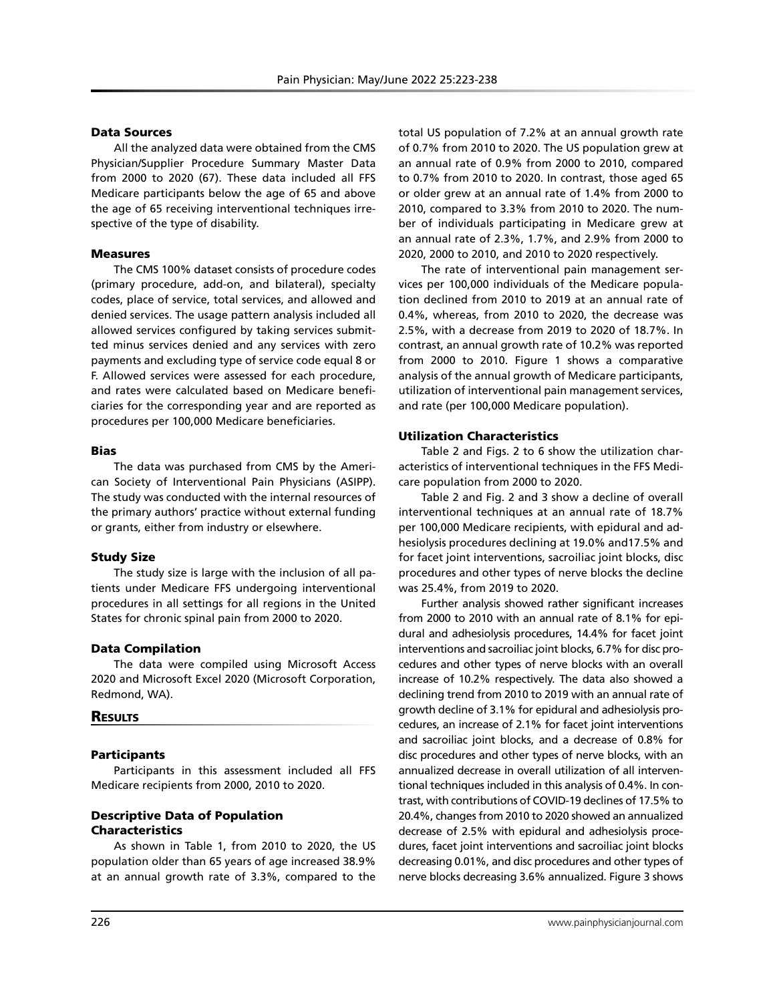#### Data Sources

All the analyzed data were obtained from the CMS Physician/Supplier Procedure Summary Master Data from 2000 to 2020 (67). These data included all FFS Medicare participants below the age of 65 and above the age of 65 receiving interventional techniques irrespective of the type of disability.

#### Measures

The CMS 100% dataset consists of procedure codes (primary procedure, add-on, and bilateral), specialty codes, place of service, total services, and allowed and denied services. The usage pattern analysis included all allowed services configured by taking services submitted minus services denied and any services with zero payments and excluding type of service code equal 8 or F. Allowed services were assessed for each procedure, and rates were calculated based on Medicare beneficiaries for the corresponding year and are reported as procedures per 100,000 Medicare beneficiaries.

#### Bias

The data was purchased from CMS by the American Society of Interventional Pain Physicians (ASIPP). The study was conducted with the internal resources of the primary authors' practice without external funding or grants, either from industry or elsewhere.

#### Study Size

The study size is large with the inclusion of all patients under Medicare FFS undergoing interventional procedures in all settings for all regions in the United States for chronic spinal pain from 2000 to 2020.

#### Data Compilation

The data were compiled using Microsoft Access 2020 and Microsoft Excel 2020 (Microsoft Corporation, Redmond, WA).

#### **RESULTS**

#### Participants

Participants in this assessment included all FFS Medicare recipients from 2000, 2010 to 2020.

## Descriptive Data of Population Characteristics

As shown in Table 1, from 2010 to 2020, the US population older than 65 years of age increased 38.9% at an annual growth rate of 3.3%, compared to the total US population of 7.2% at an annual growth rate of 0.7% from 2010 to 2020. The US population grew at an annual rate of 0.9% from 2000 to 2010, compared to 0.7% from 2010 to 2020. In contrast, those aged 65 or older grew at an annual rate of 1.4% from 2000 to 2010, compared to 3.3% from 2010 to 2020. The number of individuals participating in Medicare grew at an annual rate of 2.3%, 1.7%, and 2.9% from 2000 to 2020, 2000 to 2010, and 2010 to 2020 respectively.

The rate of interventional pain management services per 100,000 individuals of the Medicare population declined from 2010 to 2019 at an annual rate of 0.4%, whereas, from 2010 to 2020, the decrease was 2.5%, with a decrease from 2019 to 2020 of 18.7%. In contrast, an annual growth rate of 10.2% was reported from 2000 to 2010. Figure 1 shows a comparative analysis of the annual growth of Medicare participants, utilization of interventional pain management services, and rate (per 100,000 Medicare population).

#### Utilization Characteristics

Table 2 and Figs. 2 to 6 show the utilization characteristics of interventional techniques in the FFS Medicare population from 2000 to 2020.

Table 2 and Fig. 2 and 3 show a decline of overall interventional techniques at an annual rate of 18.7% per 100,000 Medicare recipients, with epidural and adhesiolysis procedures declining at 19.0% and17.5% and for facet joint interventions, sacroiliac joint blocks, disc procedures and other types of nerve blocks the decline was 25.4%, from 2019 to 2020.

Further analysis showed rather significant increases from 2000 to 2010 with an annual rate of 8.1% for epidural and adhesiolysis procedures, 14.4% for facet joint interventions and sacroiliac joint blocks, 6.7% for disc procedures and other types of nerve blocks with an overall increase of 10.2% respectively. The data also showed a declining trend from 2010 to 2019 with an annual rate of growth decline of 3.1% for epidural and adhesiolysis procedures, an increase of 2.1% for facet joint interventions and sacroiliac joint blocks, and a decrease of 0.8% for disc procedures and other types of nerve blocks, with an annualized decrease in overall utilization of all interventional techniques included in this analysis of 0.4%. In contrast, with contributions of COVID-19 declines of 17.5% to 20.4%, changes from 2010 to 2020 showed an annualized decrease of 2.5% with epidural and adhesiolysis procedures, facet joint interventions and sacroiliac joint blocks decreasing 0.01%, and disc procedures and other types of nerve blocks decreasing 3.6% annualized. Figure 3 shows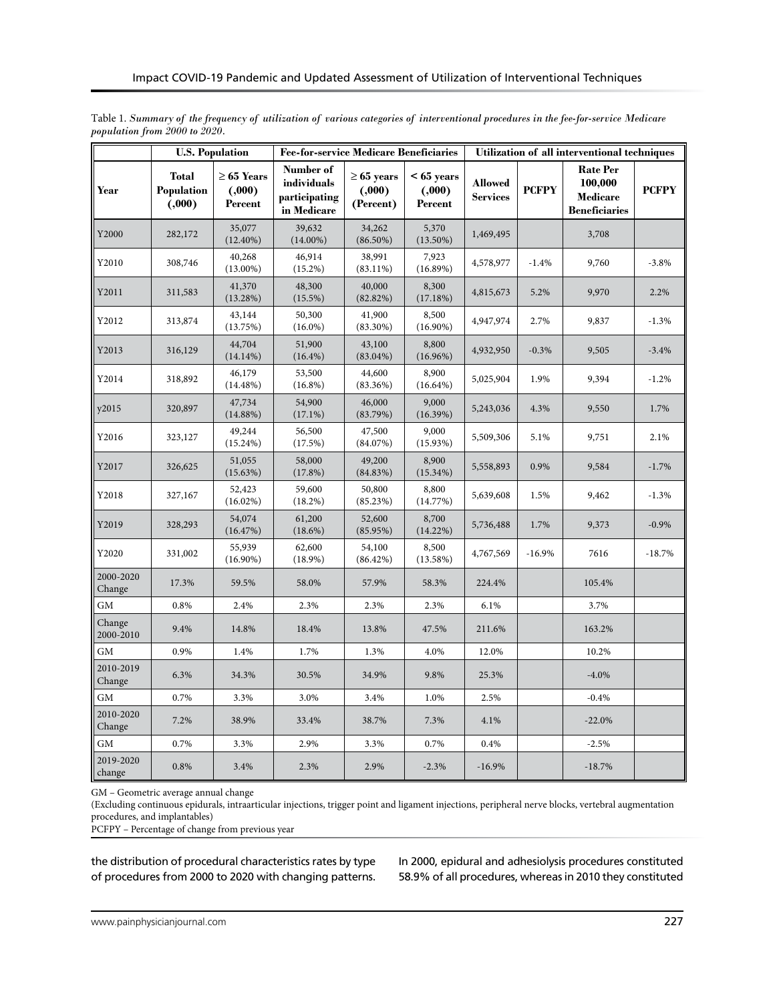|                     |                                       | <b>U.S. Population</b>                | <b>Fee-for-service Medicare Beneficiaries</b>            |                                        |                                   | Utilization of all interventional techniques |              |                                                                                       |          |
|---------------------|---------------------------------------|---------------------------------------|----------------------------------------------------------|----------------------------------------|-----------------------------------|----------------------------------------------|--------------|---------------------------------------------------------------------------------------|----------|
| Year                | <b>Total</b><br>Population<br>(0.000) | $\geq 65$ Years<br>(.000.)<br>Percent | Number of<br>individuals<br>participating<br>in Medicare | $\geq 65$ years<br>(.000)<br>(Percent) | $< 65$ years<br>(.000)<br>Percent | <b>Allowed</b><br><b>Services</b>            | <b>PCFPY</b> | <b>Rate Per</b><br>100,000<br><b>PCFPY</b><br><b>Medicare</b><br><b>Beneficiaries</b> |          |
| Y2000               | 282,172                               | 35,077<br>$(12.40\%)$                 | 39,632<br>$(14.00\%)$                                    | 34,262<br>$(86.50\%)$                  | 5,370<br>$(13.50\%)$              | 1,469,495                                    |              | 3,708                                                                                 |          |
| Y2010               | 308,746                               | 40,268<br>$(13.00\%)$                 | 46,914<br>(15.2%)                                        | 38,991<br>$(83.11\%)$                  | 7,923<br>(16.89%)                 | 4,578,977                                    | $-1.4%$      | 9,760                                                                                 | $-3.8%$  |
| Y2011               | 311,583                               | 41,370<br>(13.28%)                    | 48,300<br>(15.5%)                                        | 40,000<br>(82.82%)                     | 8,300<br>(17.18%)                 | 4,815,673                                    | 5.2%         | 9,970                                                                                 | 2.2%     |
| Y2012               | 313,874                               | 43,144<br>(13.75%)                    | 50,300<br>$(16.0\%)$                                     | 41,900<br>$(83.30\%)$                  | 8,500<br>$(16.90\%)$              | 4,947,974                                    | 2.7%         | 9,837                                                                                 | $-1.3%$  |
| Y2013               | 316,129                               | 44,704<br>(14.14%)                    | 51,900<br>$(16.4\%)$                                     | 43,100<br>$(83.04\%)$                  | 8,800<br>$(16.96\%)$              | 4,932,950                                    | $-0.3%$      | 9,505                                                                                 | $-3.4%$  |
| Y2014               | 318,892                               | 46,179<br>$(14.48\%)$                 | 53,500<br>$(16.8\%)$                                     | 44,600<br>(83.36%)                     | 8,900<br>$(16.64\%)$              | 5,025,904                                    | 1.9%         | 9,394                                                                                 | $-1.2%$  |
| y2015               | 320,897                               | 47,734<br>(14.88%)                    | 54,900<br>$(17.1\%)$                                     | 46,000<br>(83.79%)                     | 9,000<br>(16.39%)                 | 5,243,036                                    | 4.3%         | 9,550                                                                                 | 1.7%     |
| Y2016               | 323,127                               | 49,244<br>(15.24%)                    | 56,500<br>(17.5%)                                        | 47,500<br>(84.07%)                     | 9,000<br>(15.93%)                 | 5,509,306                                    | 5.1%         | 9,751                                                                                 | 2.1%     |
| Y2017               | 326,625                               | 51,055<br>(15.63%)                    | 58,000<br>(17.8%)                                        | 49,200<br>(84.83%)                     | 8,900<br>(15.34%)                 | 5,558,893                                    | 0.9%         | 9,584                                                                                 | $-1.7%$  |
| Y2018               | 327,167                               | 52,423<br>$(16.02\%)$                 | 59,600<br>$(18.2\%)$                                     | 50,800<br>(85.23%)                     | 8,800<br>(14.77%)                 | 5,639,608                                    | 1.5%         | 9,462                                                                                 | $-1.3%$  |
| Y2019               | 328,293                               | 54,074<br>(16.47%)                    | 61,200<br>(18.6%)                                        | 52,600<br>$(85.95\%)$                  | 8,700<br>(14.22%)                 | 5,736,488                                    | 1.7%         | 9,373                                                                                 | $-0.9%$  |
| Y2020               | 331,002                               | 55,939<br>$(16.90\%)$                 | 62,600<br>$(18.9\%)$                                     | 54,100<br>(86.42%)                     | 8,500<br>(13.58%)                 | 4,767,569                                    | $-16.9%$     | 7616                                                                                  | $-18.7%$ |
| 2000-2020<br>Change | 17.3%                                 | 59.5%                                 | 58.0%                                                    | 57.9%                                  | 58.3%                             | 224.4%                                       |              | 105.4%                                                                                |          |
| <b>GM</b>           | 0.8%                                  | 2.4%                                  | 2.3%                                                     | 2.3%                                   | 2.3%                              | 6.1%                                         |              | 3.7%                                                                                  |          |
| Change<br>2000-2010 | 9.4%                                  | 14.8%                                 | 18.4%                                                    | 13.8%                                  | 47.5%                             | 211.6%                                       |              | 163.2%                                                                                |          |
| GM                  | 0.9%                                  | 1.4%                                  | 1.7%                                                     | 1.3%                                   | 4.0%                              | 12.0%                                        |              | 10.2%                                                                                 |          |
| 2010-2019<br>Change | 6.3%                                  | 34.3%                                 | 30.5%                                                    | 34.9%                                  | 9.8%                              | 25.3%                                        |              | $-4.0%$                                                                               |          |
| <b>GM</b>           | 0.7%                                  | 3.3%                                  | 3.0%                                                     | 3.4%                                   | 1.0%                              | 2.5%                                         |              | $-0.4%$                                                                               |          |
| 2010-2020<br>Change | 7.2%                                  | 38.9%                                 | 33.4%                                                    | 38.7%                                  | 7.3%                              | 4.1%                                         |              | $-22.0%$                                                                              |          |
| <b>GM</b>           | 0.7%                                  | 3.3%                                  | 2.9%                                                     | 3.3%                                   | 0.7%                              | 0.4%                                         |              | $-2.5%$                                                                               |          |
| 2019-2020<br>change | 0.8%                                  | 3.4%                                  | 2.3%                                                     | 2.9%                                   | $-2.3%$                           | $-16.9%$                                     |              | $-18.7%$                                                                              |          |

Table 1. *Summary of the frequency of utilization of various categories of interventional procedures in the fee-for-service Medicare population from 2000 to 2020.*

GM – Geometric average annual change

(Excluding continuous epidurals, intraarticular injections, trigger point and ligament injections, peripheral nerve blocks, vertebral augmentation procedures, and implantables)

PCFPY – Percentage of change from previous year

the distribution of procedural characteristics rates by type of procedures from 2000 to 2020 with changing patterns.

In 2000, epidural and adhesiolysis procedures constituted 58.9% of all procedures, whereas in 2010 they constituted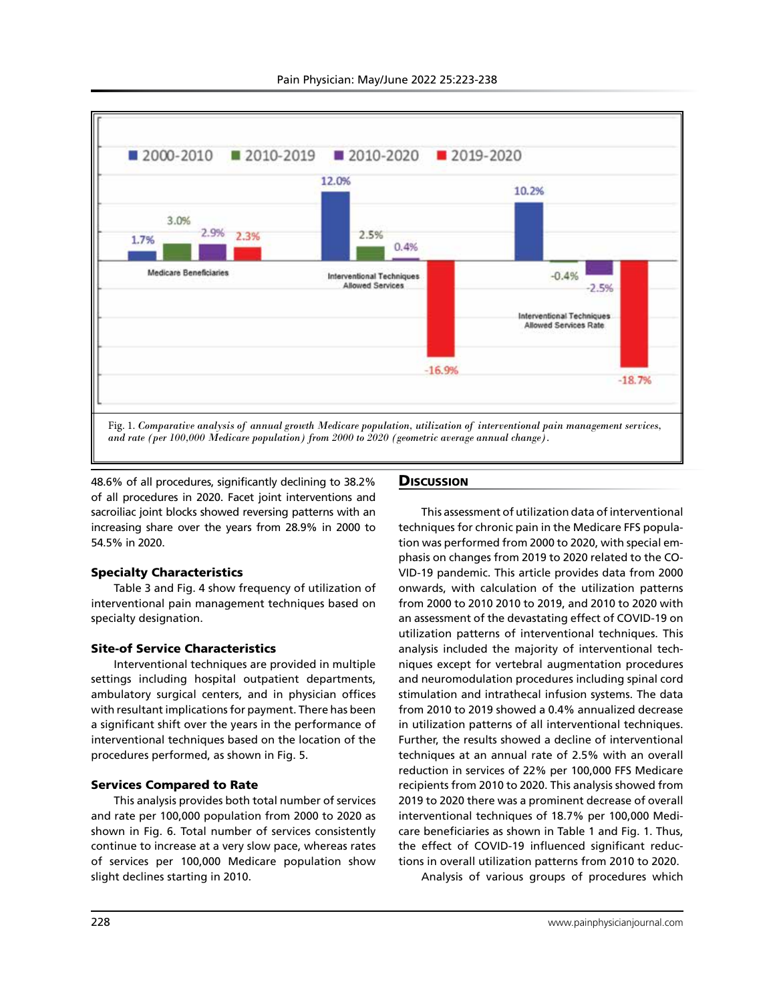

48.6% of all procedures, significantly declining to 38.2% of all procedures in 2020. Facet joint interventions and sacroiliac joint blocks showed reversing patterns with an increasing share over the years from 28.9% in 2000 to 54.5% in 2020.

## Specialty Characteristics

Table 3 and Fig. 4 show frequency of utilization of interventional pain management techniques based on specialty designation.

## Site-of Service Characteristics

Interventional techniques are provided in multiple settings including hospital outpatient departments, ambulatory surgical centers, and in physician offices with resultant implications for payment. There has been a significant shift over the years in the performance of interventional techniques based on the location of the procedures performed, as shown in Fig. 5.

#### Services Compared to Rate

This analysis provides both total number of services and rate per 100,000 population from 2000 to 2020 as shown in Fig. 6. Total number of services consistently continue to increase at a very slow pace, whereas rates of services per 100,000 Medicare population show slight declines starting in 2010.

## **Discussion**

This assessment of utilization data of interventional techniques for chronic pain in the Medicare FFS population was performed from 2000 to 2020, with special emphasis on changes from 2019 to 2020 related to the CO-VID-19 pandemic. This article provides data from 2000 onwards, with calculation of the utilization patterns from 2000 to 2010 2010 to 2019, and 2010 to 2020 with an assessment of the devastating effect of COVID-19 on utilization patterns of interventional techniques. This analysis included the majority of interventional techniques except for vertebral augmentation procedures and neuromodulation procedures including spinal cord stimulation and intrathecal infusion systems. The data from 2010 to 2019 showed a 0.4% annualized decrease in utilization patterns of all interventional techniques. Further, the results showed a decline of interventional techniques at an annual rate of 2.5% with an overall reduction in services of 22% per 100,000 FFS Medicare recipients from 2010 to 2020. This analysis showed from 2019 to 2020 there was a prominent decrease of overall interventional techniques of 18.7% per 100,000 Medicare beneficiaries as shown in Table 1 and Fig. 1. Thus, the effect of COVID-19 influenced significant reductions in overall utilization patterns from 2010 to 2020. Analysis of various groups of procedures which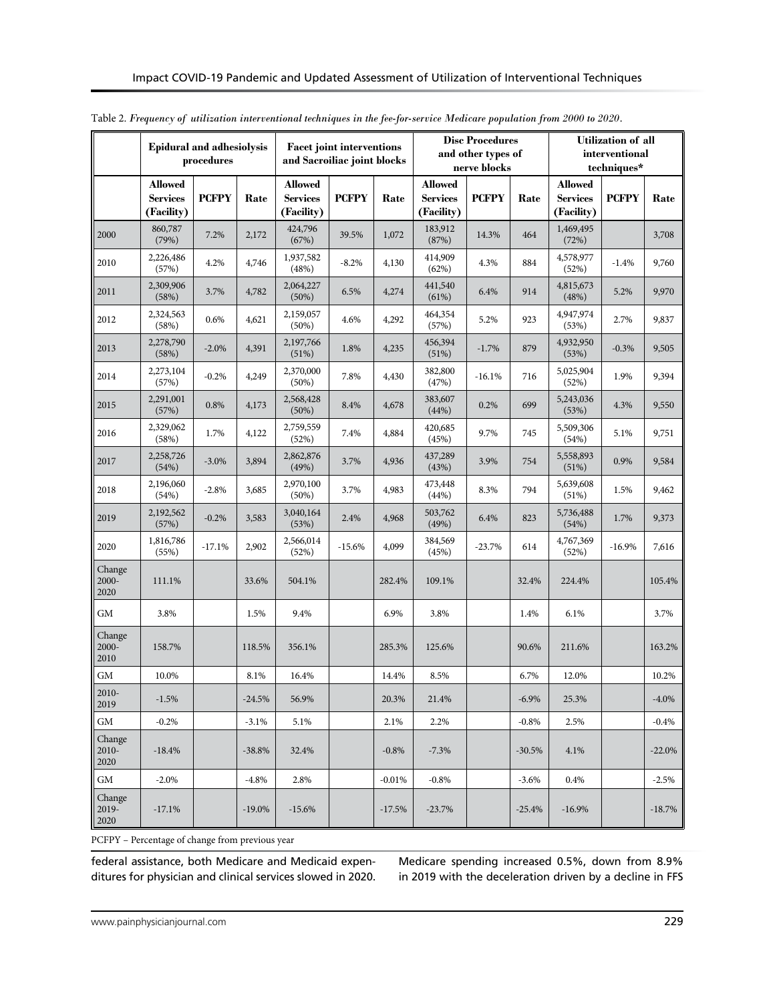|                            | <b>Epidural and adhesiolysis</b>                | procedures   |           | <b>Facet joint interventions</b><br>and Sacroiliac joint blocks |              |          |                                                 | <b>Disc Procedures</b><br>and other types of<br>nerve blocks |          |                                                 | <b>Utilization of all</b><br>interventional<br>techniques* |           |
|----------------------------|-------------------------------------------------|--------------|-----------|-----------------------------------------------------------------|--------------|----------|-------------------------------------------------|--------------------------------------------------------------|----------|-------------------------------------------------|------------------------------------------------------------|-----------|
|                            | <b>Allowed</b><br><b>Services</b><br>(Facility) | <b>PCFPY</b> | Rate      | <b>Allowed</b><br><b>Services</b><br>(Facility)                 | <b>PCFPY</b> | Rate     | <b>Allowed</b><br><b>Services</b><br>(Facility) | <b>PCFPY</b>                                                 | Rate     | <b>Allowed</b><br><b>Services</b><br>(Facility) | <b>PCFPY</b>                                               | Rate      |
| 2000                       | 860,787<br>(79%)                                | 7.2%         | 2,172     | 424,796<br>(67%)                                                | 39.5%        | 1,072    | 183,912<br>(87%)                                | 14.3%                                                        | 464      | 1,469,495<br>(72%)                              |                                                            | 3,708     |
| 2010                       | 2,226,486<br>(57%)                              | 4.2%         | 4,746     | 1,937,582<br>(48%)                                              | $-8.2%$      | 4,130    | 414,909<br>(62%)                                | 4.3%                                                         | 884      | 4,578,977<br>(52%)                              | $-1.4%$                                                    | 9,760     |
| 2011                       | 2,309,906<br>(58%)                              | 3.7%         | 4,782     | 2,064,227<br>(50%)                                              | 6.5%         | 4,274    | 441,540<br>(61%)                                | 6.4%                                                         | 914      | 4,815,673<br>(48%)                              | 5.2%                                                       | 9,970     |
| 2012                       | 2,324,563<br>(58%)                              | 0.6%         | 4,621     | 2,159,057<br>$(50\%)$                                           | 4.6%         | 4,292    | 464,354<br>(57%)                                | 5.2%                                                         | 923      | 4,947,974<br>(53%)                              | 2.7%                                                       | 9,837     |
| 2013                       | 2,278,790<br>(58%)                              | $-2.0%$      | 4,391     | 2,197,766<br>(51%)                                              | 1.8%         | 4,235    | 456,394<br>(51%)                                | $-1.7%$                                                      | 879      | 4,932,950<br>(53%)                              | $-0.3%$                                                    | 9,505     |
| 2014                       | 2,273,104<br>(57%)                              | $-0.2%$      | 4,249     | 2,370,000<br>(50%)                                              | 7.8%         | 4,430    | 382,800<br>(47%)                                | $-16.1%$                                                     | 716      | 5,025,904<br>(52%)                              | 1.9%                                                       | 9,394     |
| 2015                       | 2,291,001<br>(57%)                              | 0.8%         | 4,173     | 2,568,428<br>$(50\%)$                                           | 8.4%         | 4,678    | 383,607<br>(44%)                                | 0.2%                                                         | 699      | 5,243,036<br>(53%)                              | 4.3%                                                       | 9,550     |
| 2016                       | 2,329,062<br>(58%)                              | 1.7%         | 4,122     | 2,759,559<br>(52%)                                              | 7.4%         | 4,884    | 420,685<br>(45%)                                | 9.7%                                                         | 745      | 5,509,306<br>(54%)                              | 5.1%                                                       | 9,751     |
| 2017                       | 2,258,726<br>(54%)                              | $-3.0\%$     | 3,894     | 2,862,876<br>(49%)                                              | 3.7%         | 4,936    | 437,289<br>(43%)                                | 3.9%                                                         | 754      | 5,558,893<br>(51%)                              | 0.9%                                                       | 9,584     |
| 2018                       | 2,196,060<br>(54%)                              | $-2.8%$      | 3,685     | 2,970,100<br>(50%)                                              | 3.7%         | 4,983    | 473,448<br>(44%)                                | 8.3%                                                         | 794      | 5,639,608<br>(51%)                              | 1.5%                                                       | 9,462     |
| 2019                       | 2,192,562<br>(57%)                              | $-0.2%$      | 3,583     | 3,040,164<br>(53%)                                              | 2.4%         | 4,968    | 503,762<br>(49%)                                | 6.4%                                                         | 823      | 5,736,488<br>(54%)                              | 1.7%                                                       | 9,373     |
| 2020                       | 1,816,786<br>(55%)                              | $-17.1%$     | 2,902     | 2,566,014<br>(52%)                                              | $-15.6%$     | 4,099    | 384,569<br>(45%)                                | $-23.7%$                                                     | 614      | 4,767,369<br>(52%)                              | $-16.9%$                                                   | 7,616     |
| Change<br>2000-<br>2020    | 111.1%                                          |              | 33.6%     | 504.1%                                                          |              | 282.4%   | 109.1%                                          |                                                              | 32.4%    | 224.4%                                          |                                                            | 105.4%    |
| GМ                         | 3.8%                                            |              | 1.5%      | 9.4%                                                            |              | 6.9%     | 3.8%                                            |                                                              | 1.4%     | 6.1%                                            |                                                            | 3.7%      |
| Change<br>2000-<br>2010    | 158.7%                                          |              | 118.5%    | 356.1%                                                          |              | 285.3%   | 125.6%                                          |                                                              | 90.6%    | 211.6%                                          |                                                            | 163.2%    |
| GM                         | 10.0%                                           |              | 8.1%      | 16.4%                                                           |              | 14.4%    | 8.5%                                            |                                                              | 6.7%     | 12.0%                                           |                                                            | 10.2%     |
| 2010-<br>2019              | $-1.5%$                                         |              | $-24.5%$  | 56.9%                                                           |              | 20.3%    | 21.4%                                           |                                                              | $-6.9%$  | 25.3%                                           |                                                            | $-4.0\%$  |
| $\mbox{GM}$                | $-0.2%$                                         |              | $-3.1%$   | 5.1%                                                            |              | 2.1%     | 2.2%                                            |                                                              | $-0.8\%$ | 2.5%                                            |                                                            | $-0.4%$   |
| Change<br>$2010-$<br>2020  | $-18.4%$                                        |              | $-38.8%$  | 32.4%                                                           |              | $-0.8%$  | $-7.3\%$                                        |                                                              | $-30.5%$ | 4.1%                                            |                                                            | $-22.0%$  |
| GM                         | $-2.0%$                                         |              | $-4.8\%$  | 2.8%                                                            |              | $-0.01%$ | $-0.8\%$                                        |                                                              | $-3.6%$  | 0.4%                                            |                                                            | $-2.5%$   |
| Change<br>$2019 -$<br>2020 | $-17.1%$                                        |              | $-19.0\%$ | $-15.6%$                                                        |              | $-17.5%$ | $-23.7%$                                        |                                                              | $-25.4%$ | $-16.9%$                                        |                                                            | $-18.7\%$ |

Table 2. *Frequency of utilization interventional techniques in the fee-for-service Medicare population from 2000 to 2020.*

PCFPY – Percentage of change from previous year

federal assistance, both Medicare and Medicaid expenditures for physician and clinical services slowed in 2020.

Medicare spending increased 0.5%, down from 8.9% in 2019 with the deceleration driven by a decline in FFS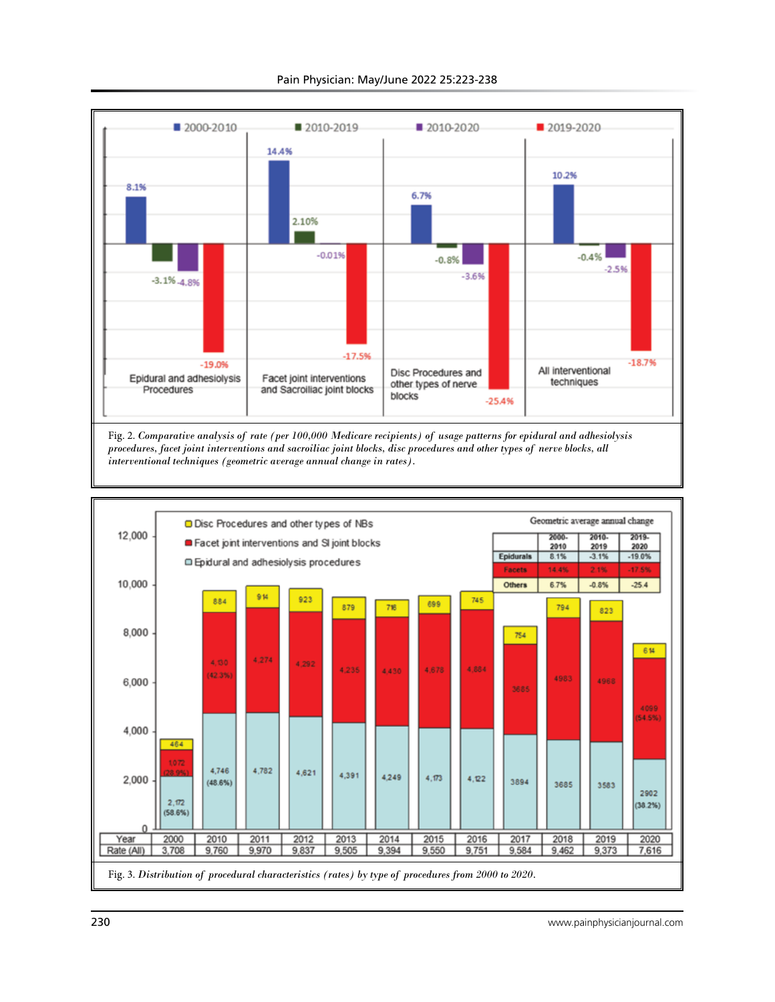

Pain Physician: May/June 2022 25:223-238

*procedures, facet joint interventions and sacroiliac joint blocks, disc procedures and other types of nerve blocks, all interventional techniques (geometric average annual change in rates).* 

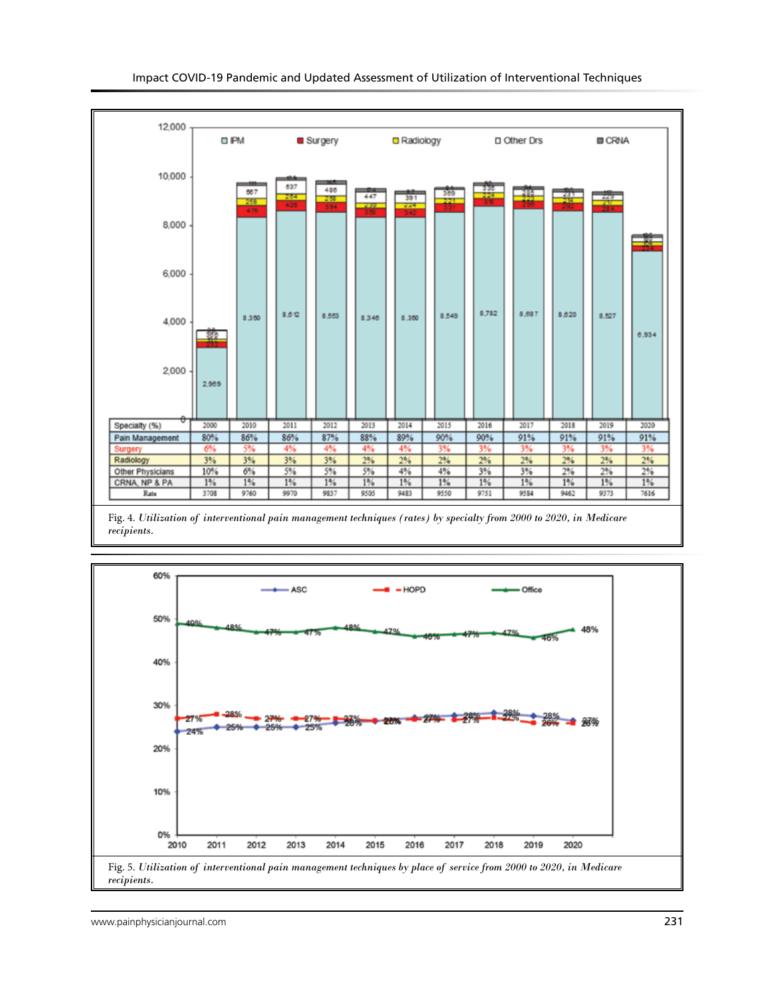

Fig. 4. *Utilization of interventional pain management techniques (rates) by specialty from 2000 to 2020, in Medicare recipients.* 

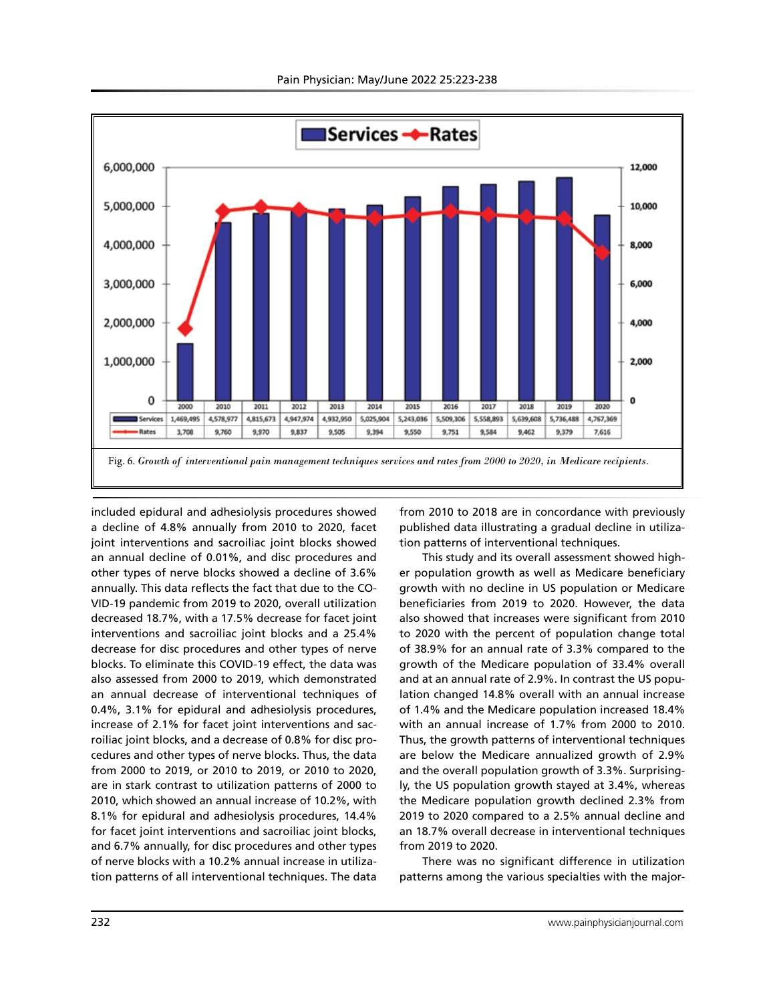

included epidural and adhesiolysis procedures showed a decline of 4.8% annually from 2010 to 2020, facet joint interventions and sacroiliac joint blocks showed an annual decline of 0.01%, and disc procedures and other types of nerve blocks showed a decline of 3.6% annually. This data reflects the fact that due to the CO-VID-19 pandemic from 2019 to 2020, overall utilization decreased 18.7%, with a 17.5% decrease for facet joint interventions and sacroiliac joint blocks and a 25.4% decrease for disc procedures and other types of nerve blocks. To eliminate this COVID-19 effect, the data was also assessed from 2000 to 2019, which demonstrated an annual decrease of interventional techniques of 0.4%, 3.1% for epidural and adhesiolysis procedures, increase of 2.1% for facet joint interventions and sacroiliac joint blocks, and a decrease of 0.8% for disc procedures and other types of nerve blocks. Thus, the data from 2000 to 2019, or 2010 to 2019, or 2010 to 2020, are in stark contrast to utilization patterns of 2000 to 2010, which showed an annual increase of 10.2%, with 8.1% for epidural and adhesiolysis procedures, 14.4% for facet joint interventions and sacroiliac joint blocks, and 6.7% annually, for disc procedures and other types of nerve blocks with a 10.2% annual increase in utilization patterns of all interventional techniques. The data

from 2010 to 2018 are in concordance with previously published data illustrating a gradual decline in utilization patterns of interventional techniques.

This study and its overall assessment showed higher population growth as well as Medicare beneficiary growth with no decline in US population or Medicare beneficiaries from 2019 to 2020. However, the data also showed that increases were significant from 2010 to 2020 with the percent of population change total of 38.9% for an annual rate of 3.3% compared to the growth of the Medicare population of 33.4% overall and at an annual rate of 2.9%. In contrast the US population changed 14.8% overall with an annual increase of 1.4% and the Medicare population increased 18.4% with an annual increase of 1.7% from 2000 to 2010. Thus, the growth patterns of interventional techniques are below the Medicare annualized growth of 2.9% and the overall population growth of 3.3%. Surprisingly, the US population growth stayed at 3.4%, whereas the Medicare population growth declined 2.3% from 2019 to 2020 compared to a 2.5% annual decline and an 18.7% overall decrease in interventional techniques from 2019 to 2020.

There was no significant difference in utilization patterns among the various specialties with the major-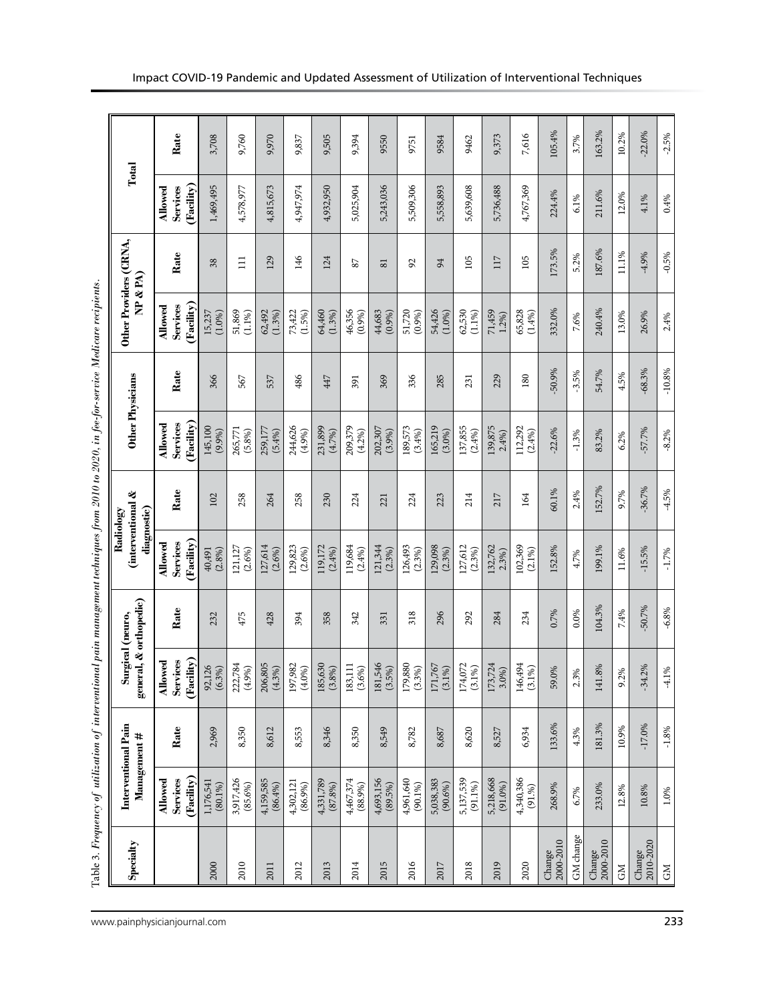| i<br>j               |
|----------------------|
| .<br>.<br>Ì          |
|                      |
|                      |
|                      |
|                      |
| ς σ<br>ׇ֘֝֝          |
| ֡֡֡֡֡֡֡֡             |
|                      |
| ׇ֠                   |
|                      |
|                      |
| $\frac{1}{2}$<br>i   |
| ١                    |
| $\ddot{\phantom{a}}$ |
| $\ddot{\phantom{a}}$ |
|                      |
|                      |
|                      |
|                      |
|                      |
| į                    |
|                      |
|                      |
|                      |
|                      |
|                      |
|                      |
| j                    |
| ï<br>ļ<br>I          |
|                      |
| ł                    |
| Ē<br>i               |

| Specialty           | <b>Interventional Pain</b><br>Management # |                   | general, & orthopedic)<br>Surgical (neuro,     |          | (interventional &<br>diagnostic)<br>Radiology |          | Other Physicians       |          | Other Providers (CRNA,<br>NP & R |                         | Total                  |          |
|---------------------|--------------------------------------------|-------------------|------------------------------------------------|----------|-----------------------------------------------|----------|------------------------|----------|----------------------------------|-------------------------|------------------------|----------|
|                     | Allowed                                    |                   | <b>Allowed</b>                                 |          | Allowed                                       |          | Allowed                |          | Allowed                          |                         | Allowed                |          |
|                     | (Facility)<br>Services                     | Rate              | (Facility)<br><b>Services</b>                  | Rate     | (Facility)<br>Services                        | Rate     | (Facility)<br>Services | Rate     | (Facility)<br>Services           | Rate                    | (Facility)<br>Services | Rate     |
| 2000                | 1,176,541<br>$(80.1\%)$                    | 2,969             | 92,126<br>(6.3%)                               | 232      | (2.8%)<br>40,491                              | 102      | 145,100<br>(9.9%)      | 366      | (1.0%)<br>15,237                 | 38                      | 1,469,495              | 3,708    |
| 2010                | 3,917,426<br>$(85.6\%)$                    | 8,350             | 222,784<br>(4.9%)                              | 475      | 121,127<br>(2.6%)                             | 258      | 265,771<br>(5.8%)      | 567      | 51,869<br>(1.1%)                 | $\Xi$                   | 4,578,977              | 9,760    |
| 2011                | 4,159,585<br>(86.4%)                       | 8,612             | 206,805<br>$(4.3\%)$                           | 428      | 127,614<br>(2.6%)                             | 264      | 259,177<br>(5.4%)      | 537      | (1.3%)<br>62,492                 | 129                     | 4,815,673              | 9,970    |
| 2012                | 4,302,121<br>(86.9%)                       | 8,553             | 197,982<br>(4.0%)                              | 394      | 129,823<br>(2.6%)                             | 258      | 244,626<br>(4.9%)      | 486      | 73,422<br>$(1.5\%)$              | 146                     | 4,947,974              | 9,837    |
| 2013                | 4,331,789<br>(87.8%)                       | 8,346             | 185,630<br>$(3.8\%)$                           | 358      | 119,172<br>(2.4%)                             | 230      | 231,899<br>(4.7%)      | 447      | 64,460<br>(1.3%)                 | 124                     | 4,932,950              | 9,505    |
| 2014                | 4,467,374<br>$(88.9\%)$                    | 8,350             | 183,111<br>$(3.6\%)$                           | 342      | 119,684<br>(2.4%)                             | 224      | 209,379<br>(4.2%)      | 391      | 46,356<br>(0.9%)                 | 87                      | 5,025,904              | 9,394    |
| 2015                | 4,693,156<br>$(89.5\%)$                    | 8,549             | 181,546<br>$(3.5\%)$                           | 331      | 121,344<br>(2.3%)                             | 221      | 202,307<br>(3.9%)      | 369      | $44,683$<br>$(0.9\%)$            | $\overline{\mathbf{8}}$ | 5,243,036              | 9550     |
| 2016                | 4,961,640<br>$(90.1\%)$                    | 8,782             | 179,880<br>(3.3%)                              | 318      | 126,493<br>(2.3%)                             | 224      | 189,573<br>(3.4%)      | 336      | (0.9%)<br>51,720                 | 92                      | 5,509,306              | 9751     |
| 2017                | 5,038,383<br>$(90.6\%)$                    | 8,687             | 171,767<br>$(3.1\%)$                           | 296      | 129,098<br>(2.3%)                             | 223      | 165,219<br>$(3.0\%)$   | 285      | 54,426<br>(1.0%)                 | 54                      | 5,558,893              | 9584     |
| 2018                | 5,137,539<br>$(91.1\%)$                    | 8,620             | 174,072<br>$(3.1\%)$                           | 292      | 127,612<br>(2.3%)                             | 214      | 137,855<br>(2.4%)      | 231      | 62,530<br>$(1.1\%)$              | 105                     | 5,639,608              | 9462     |
| 2019                | 5,218,668<br>$(91.0\%)$                    | 8,527             | 173,724<br>3.0%                                | 284      | 132,762<br>2.3%                               | 217      | 139,875<br>2.4%        | 229      | 71,459<br>1.2%                   | 117                     | 5,736,488              | 9,373    |
| 2020                | 4,340,386<br>(91.%)                        | 6,934             | 146,494<br>$\mathcal{S}_{0}$<br>$\overline{3}$ | 234      | 102,369<br>$(2.1\%)$                          | 164      | 112,292<br>(2.4%)      | 180      | 65,828<br>(1.4%)                 | 105                     | 4,767,369              | 7,616    |
| 2000-2010<br>Change | 268.9%                                     | 133.6%            | 59.0%                                          | 0.7%     | 152.8%                                        | 60.1%    | $-22.6%$               | $-50.9%$ | 332.0%                           | 173.5%                  | 224.4%                 | 105.4%   |
| GM change           | 6.7%                                       | 4.3%              | 3%<br>$\mathfrak{L}$                           | 0.0%     | 4.7%                                          | 2.4%     | $-1.3%$                | $-3.5%$  | 7.6%                             | 5.2%                    | 6.1%                   | 3.7%     |
| 2000-2010<br>Change | 233.0%                                     | 181.3%            | 141.8%                                         | 104.3%   | 199.1%                                        | 152.7%   | 83.2%                  | 54.7%    | 240.4%                           | 187.6%                  | 211.6%                 | 163.2%   |
| $G\overline{M}$     | 12.8%                                      | 10.9%             | 9.2%                                           | 7.4%     | 11.6%                                         | 9.7%     | 6.2%                   | 4.5%     | 13.0%                            | 11.1%                   | 12.0%                  | 10.2%    |
| Change<br>2010-2020 | $10.8\%$                                   | $-17.0\%$         | $-34.2%$                                       | $-50.7%$ | $-15.5%$                                      | $-36.7%$ | $-57.7%$               | $-68.3%$ | 26.9%                            | $-4.9%$                 | 4.1%                   | $-22.0%$ |
| <b>GM</b>           | $1.0\%$                                    | $\textbf{-1.8}\%$ | 1%<br>$\overline{4}$                           | $-6.8\%$ | $-1.7%$                                       | $-4.5%$  | $-8.2%$                | $-10.8%$ | 2.4%                             | $-0.5%$                 | 0.4%                   | $-2.5%$  |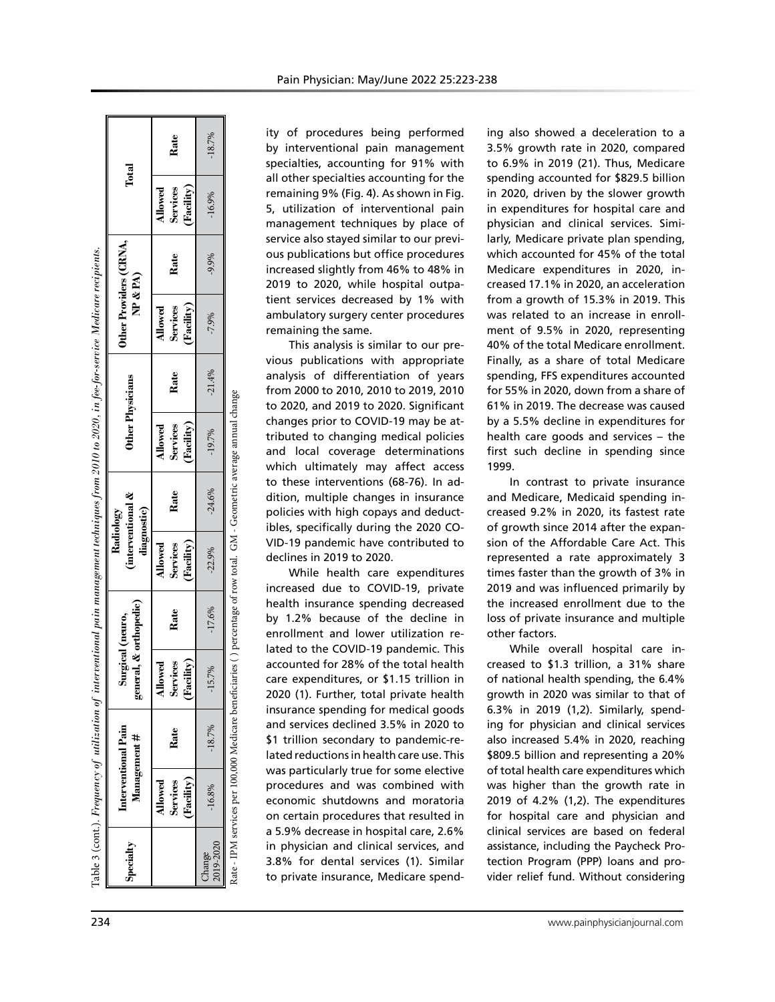|                                                                                                     |                                                                                            | Rate                                     | $-18.7%$            | ity of procedures being performed<br>ing also showed a deceleration to a<br>by interventional pain management<br>3.5% growth rate in 2020, compared<br>specialties, accounting for 91% with<br>to 6.9% in 2019 (21). Thus, Medicare                                                                                                                                                                                    |
|-----------------------------------------------------------------------------------------------------|--------------------------------------------------------------------------------------------|------------------------------------------|---------------------|------------------------------------------------------------------------------------------------------------------------------------------------------------------------------------------------------------------------------------------------------------------------------------------------------------------------------------------------------------------------------------------------------------------------|
|                                                                                                     | Total                                                                                      | (Facility)<br>Services<br>Allowed        | $-16.9%$            | all other specialties accounting for the<br>spending accounted for \$829.5 billior<br>in 2020, driven by the slower growth<br>remaining 9% (Fig. 4). As shown in Fig.<br>5, utilization of interventional pain<br>in expenditures for hospital care and<br>physician and clinical services. Simi-<br>management techniques by place of                                                                                 |
|                                                                                                     | Other Providers (CRNA,<br>$\&$ PA)                                                         | Rate                                     | $-9.9%$             | service also stayed similar to our previ-<br>larly, Medicare private plan spending<br>ous publications but office procedures<br>which accounted for 45% of the tota<br>increased slightly from 46% to 48% in<br>Medicare expenditures in 2020, in-<br>2019 to 2020, while hospital outpa-<br>creased 17.1% in 2020, an acceleration                                                                                    |
| interventional pain management techniques from 2010 to 2020, in fee-for-service Medicare recipients | È                                                                                          | (Facility)<br>Services<br>Allowed        | $-7.9%$             | tient services decreased by 1% with<br>from a growth of 15.3% in 2019. This<br>was related to an increase in enroll<br>ambulatory surgery center procedures<br>remaining the same.<br>ment of 9.5% in 2020, representing<br>40% of the total Medicare enrollment<br>This analysis is similar to our pre-                                                                                                               |
|                                                                                                     | Other Physicians                                                                           | Rate                                     | $-21.4%$            | vious publications with appropriate<br>Finally, as a share of total Medicare<br>analysis of differentiation of years<br>spending, FFS expenditures accounted<br>from 2000 to 2010, 2010 to 2019, 2010<br>for 55% in 2020, down from a share of<br>to 2020, and 2019 to 2020. Significant<br>61% in 2019. The decrease was caused                                                                                       |
|                                                                                                     |                                                                                            | (Facility)<br>Services<br><b>Allowed</b> | $-19.7%$            | Rate - IPM services per 100,000 Medicare beneficiaries ( ) percentage of row total. GM - Geometric average annual change<br>changes prior to COVID-19 may be at-<br>by a 5.5% decline in expenditures for<br>health care goods and services - the<br>tributed to changing medical policies<br>and local coverage determinations<br>first such decline in spending since<br>which ultimately may affect access<br>1999. |
|                                                                                                     | ళ<br>interventional<br>diagnostic)<br>ි                                                    | Rate                                     | $-24.6%$            | to these interventions (68-76). In ad-<br>In contrast to private insurance<br>dition, multiple changes in insurance<br>and Medicare, Medicaid spending in-<br>policies with high copays and deduct-<br>creased 9.2% in 2020, its fastest rate<br>ibles, specifically during the 2020 CO-<br>of growth since 2014 after the expan-                                                                                      |
| Radiolo                                                                                             |                                                                                            | (Facility)<br>Services<br>Allowed        | $-22.9%$            | VID-19 pandemic have contributed to<br>sion of the Affordable Care Act. This<br>represented a rate approximately 3<br>declines in 2019 to 2020.<br>times faster than the growth of 3% ir<br>While health care expenditures<br>increased due to COVID-19, private<br>2019 and was influenced primarily by                                                                                                               |
|                                                                                                     | neral, & orthopedic)<br>Surgical (neuro,                                                   | Rate                                     | $-17.6%$            | health insurance spending decreased<br>the increased enrollment due to the<br>by 1.2% because of the decline in<br>loss of private insurance and multiple<br>enrollment and lower utilization re-<br>other factors.<br>lated to the COVID-19 pandemic. This<br>While overall hospital care in                                                                                                                          |
|                                                                                                     | 90                                                                                         | Allowed<br>Services<br>(Facility)        | 15.7%               | accounted for 28% of the total health<br>creased to \$1.3 trillion, a 31% share<br>of national health spending, the 6.4%<br>care expenditures, or \$1.15 trillion in<br>2020 (1). Further, total private health<br>growth in 2020 was similar to that of<br>insurance spending for medical goods<br>6.3% in 2019 (1,2). Similarly, spend-                                                                              |
|                                                                                                     | Table 3 (cont.). <i>Frequency of utilization of</i><br>Interventional Pain<br>Management # | Rate                                     | $-18.7%$            | and services declined 3.5% in 2020 to<br>ing for physician and clinical services<br>\$1 trillion secondary to pandemic-re-<br>also increased 5.4% in 2020, reaching<br>lated reductions in health care use. This<br>\$809.5 billion and representing a 20%<br>was particularly true for some elective<br>of total health care expenditures which                                                                       |
|                                                                                                     |                                                                                            | Services<br>(Facility)<br>Allowed        | $-16.8%$            | procedures and was combined with<br>was higher than the growth rate ir<br>economic shutdowns and moratoria<br>2019 of 4.2% (1,2). The expenditures<br>on certain procedures that resulted in<br>for hospital care and physician and<br>a 5.9% decrease in hospital care, 2.6%<br>clinical services are based on federa                                                                                                 |
|                                                                                                     | Specialty                                                                                  |                                          | Change<br>2019-2020 | in physician and clinical services, and<br>assistance, including the Paycheck Pro-<br>3.8% for dental services (1). Similar<br>tection Program (PPP) loans and pro-<br>to private insurance, Medicare spend-<br>vider relief fund. Without considering                                                                                                                                                                 |
| 234                                                                                                 |                                                                                            |                                          |                     | www.painphysicianjournal.com                                                                                                                                                                                                                                                                                                                                                                                           |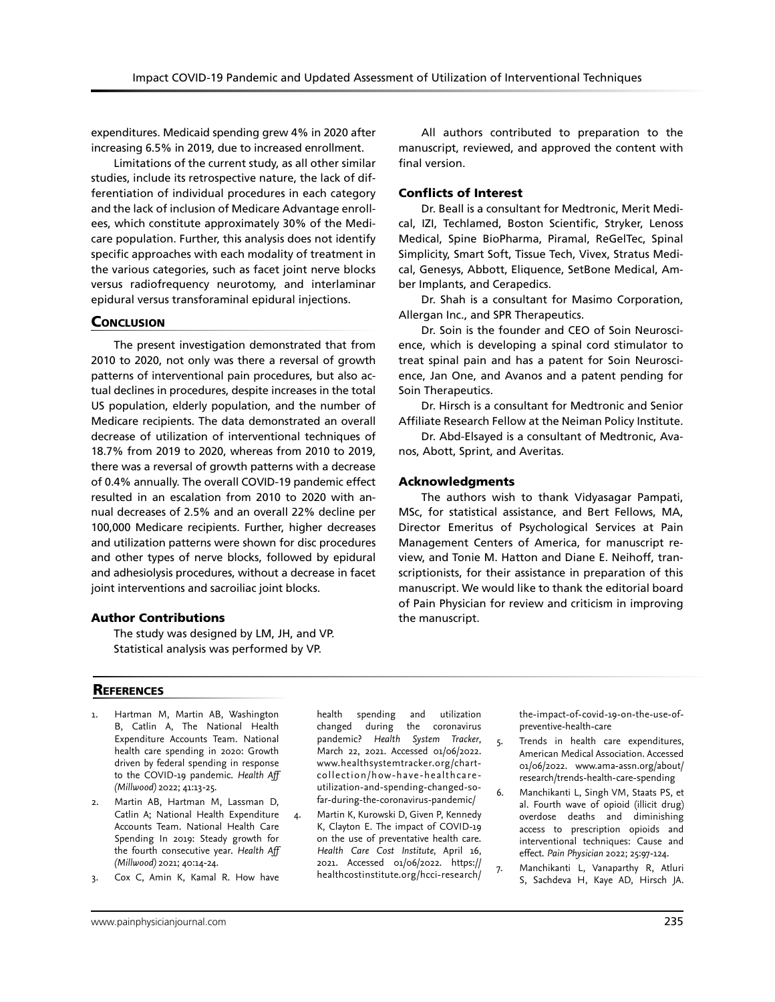expenditures. Medicaid spending grew 4% in 2020 after increasing 6.5% in 2019, due to increased enrollment.

Limitations of the current study, as all other similar studies, include its retrospective nature, the lack of differentiation of individual procedures in each category and the lack of inclusion of Medicare Advantage enrollees, which constitute approximately 30% of the Medicare population. Further, this analysis does not identify specific approaches with each modality of treatment in the various categories, such as facet joint nerve blocks versus radiofrequency neurotomy, and interlaminar epidural versus transforaminal epidural injections.

#### **CONCLUSION**

The present investigation demonstrated that from 2010 to 2020, not only was there a reversal of growth patterns of interventional pain procedures, but also actual declines in procedures, despite increases in the total US population, elderly population, and the number of Medicare recipients. The data demonstrated an overall decrease of utilization of interventional techniques of 18.7% from 2019 to 2020, whereas from 2010 to 2019, there was a reversal of growth patterns with a decrease of 0.4% annually. The overall COVID-19 pandemic effect resulted in an escalation from 2010 to 2020 with annual decreases of 2.5% and an overall 22% decline per 100,000 Medicare recipients. Further, higher decreases and utilization patterns were shown for disc procedures and other types of nerve blocks, followed by epidural and adhesiolysis procedures, without a decrease in facet joint interventions and sacroiliac joint blocks.

## Author Contributions

The study was designed by LM, JH, and VP. Statistical analysis was performed by VP.

All authors contributed to preparation to the manuscript, reviewed, and approved the content with final version.

#### Conflicts of Interest

Dr. Beall is a consultant for Medtronic, Merit Medical, IZI, Techlamed, Boston Scientific, Stryker, Lenoss Medical, Spine BioPharma, Piramal, ReGelTec, Spinal Simplicity, Smart Soft, Tissue Tech, Vivex, Stratus Medical, Genesys, Abbott, Eliquence, SetBone Medical, Amber Implants, and Cerapedics.

Dr. Shah is a consultant for Masimo Corporation, Allergan Inc., and SPR Therapeutics.

Dr. Soin is the founder and CEO of Soin Neuroscience, which is developing a spinal cord stimulator to treat spinal pain and has a patent for Soin Neuroscience, Jan One, and Avanos and a patent pending for Soin Therapeutics.

Dr. Hirsch is a consultant for Medtronic and Senior Affiliate Research Fellow at the Neiman Policy Institute.

Dr. Abd-Elsayed is a consultant of Medtronic, Avanos, Abott, Sprint, and Averitas.

#### Acknowledgments

The authors wish to thank Vidyasagar Pampati, MSc, for statistical assistance, and Bert Fellows, MA, Director Emeritus of Psychological Services at Pain Management Centers of America, for manuscript review, and Tonie M. Hatton and Diane E. Neihoff, transcriptionists, for their assistance in preparation of this manuscript. We would like to thank the editorial board of Pain Physician for review and criticism in improving the manuscript.

#### **REFERENCES**

- Hartman M, Martin AB, Washington B, Catlin A, The National Health Expenditure Accounts Team. National health care spending in 2020: Growth driven by federal spending in response to the COVID-19 pandemic. *Health Aff (Millwood)* 2022; 41:13-25.
- 2. Martin AB, Hartman M, Lassman D, Catlin A; National Health Expenditure Accounts Team. National Health Care Spending In 2019: Steady growth for the fourth consecutive year. *Health Aff (Millwood)* 2021; 40:14-24.
- 3. Cox C, Amin K, Kamal R. How have

health spending and utilization changed during the coronavirus pandemic? *Health System Tracker*, March 22, 2021. Accessed 01/06/2022. www.healthsystemtracker.org/chartcollection/how-have-healthcareutilization-and-spending-changed-sofar-during-the-coronavirus-pandemic/

4. Martin K, Kurowski D, Given P, Kennedy K, Clayton E. The impact of COVID-19 on the use of preventative health care. *Health Care Cost Institute*, April 16, 2021. Accessed 01/06/2022. https:// healthcostinstitute.org/hcci-research/

the-impact-of-covid-19-on-the-use-ofpreventive-health-care

- 5. Trends in health care expenditures, American Medical Association. Accessed 01/06/2022. www.ama-assn.org/about/ research/trends-health-care-spending
- 6. Manchikanti L, Singh VM, Staats PS, et al. Fourth wave of opioid (illicit drug) overdose deaths and diminishing access to prescription opioids and interventional techniques: Cause and effect. *Pain Physician* 2022; 25:97-124.
- 7. Manchikanti L, Vanaparthy R, Atluri S, Sachdeva H, Kaye AD, Hirsch JA.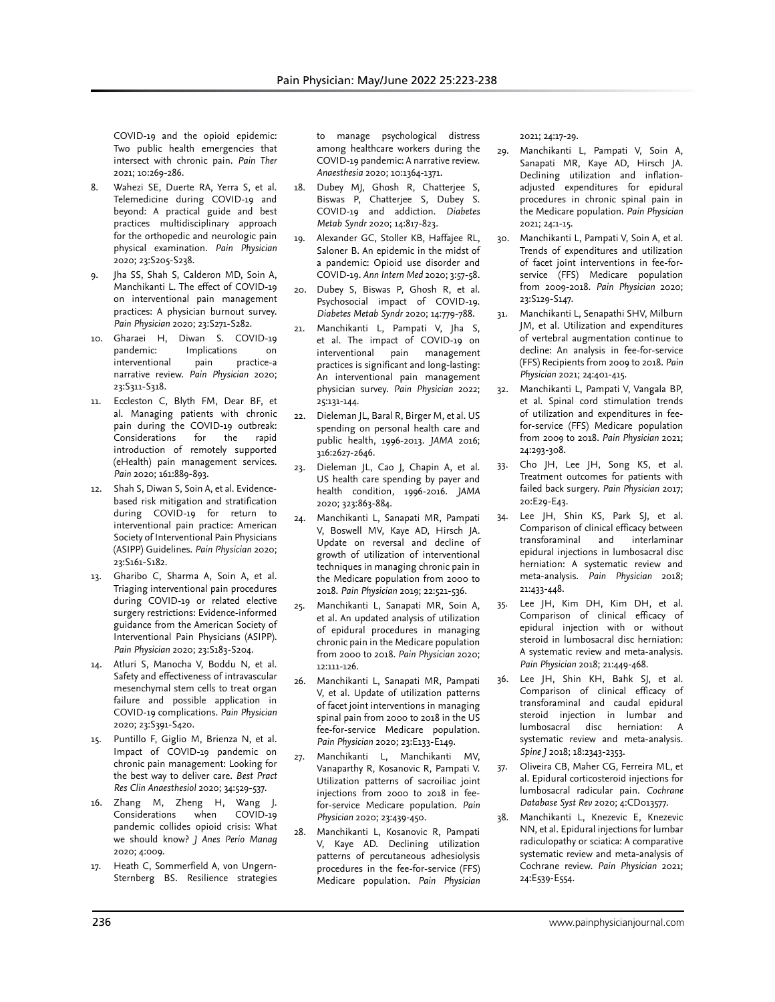COVID-19 and the opioid epidemic: Two public health emergencies that intersect with chronic pain. *Pain Ther* 2021; 10:269-286.

- 8. Wahezi SE, Duerte RA, Yerra S, et al. Telemedicine during COVID-19 and beyond: A practical guide and best practices multidisciplinary approach for the orthopedic and neurologic pain physical examination. *Pain Physician* 2020; 23:S205-S238.
- Jha SS, Shah S, Calderon MD, Soin A, Manchikanti L. The effect of COVID-19 on interventional pain management practices: A physician burnout survey. *Pain Physician* 2020; 23:S271-S282.
- 10. Gharaei H, Diwan S. COVID-19 pandemic: Implications on<br>interventional pain practice-a interventional pain narrative review. *Pain Physician* 2020; 23:S311-S318.
- 11. Eccleston C, Blyth FM, Dear BF, et al. Managing patients with chronic pain during the COVID-19 outbreak: Considerations for the rapid introduction of remotely supported (eHealth) pain management services. *Pain* 2020; 161:889-893.
- 12. Shah S, Diwan S, Soin A, et al. Evidencebased risk mitigation and stratification during COVID-19 for return to interventional pain practice: American Society of Interventional Pain Physicians (ASIPP) Guidelines. *Pain Physician* 2020; 23:S161-S182.
- 13. Gharibo C, Sharma A, Soin A, et al. Triaging interventional pain procedures during COVID-19 or related elective surgery restrictions: Evidence-informed guidance from the American Society of Interventional Pain Physicians (ASIPP). *Pain Physician* 2020; 23:S183-S204.
- 14. Atluri S, Manocha V, Boddu N, et al. Safety and effectiveness of intravascular mesenchymal stem cells to treat organ failure and possible application in COVID-19 complications. *Pain Physician* 2020; 23:S391-S420.
- 15. Puntillo F, Giglio M, Brienza N, et al. Impact of COVID-19 pandemic on chronic pain management: Looking for the best way to deliver care. *Best Pract Res Clin Anaesthesiol* 2020; 34:529-537.
- 16. Zhang M, Zheng H, Wang J. Considerations when COVID-19 pandemic collides opioid crisis: What we should know? *J Anes Perio Manag* 2020; 4:009.
- 17. Heath C, Sommerfield A, von Ungern-Sternberg BS. Resilience strategies

to manage psychological distress among healthcare workers during the COVID-19 pandemic: A narrative review. *Anaesthesia* 2020; 10:1364-1371.

- 18. Dubey MJ, Ghosh R, Chatterjee S, Biswas P, Chatterjee S, Dubey S. COVID-19 and addiction. *Diabetes Metab Syndr* 2020; 14:817-823.
- 19. Alexander GC, Stoller KB, Haffajee RL, Saloner B. An epidemic in the midst of a pandemic: Opioid use disorder and COVID-19. *Ann Intern Med* 2020; 3:57-58.
- 20. Dubey S, Biswas P, Ghosh R, et al. Psychosocial impact of COVID-19. *Diabetes Metab Syndr* 2020; 14:779-788.
- 21. Manchikanti L, Pampati V, Jha S, et al. The impact of COVID-19 on interventional pain management practices is significant and long-lasting: An interventional pain management physician survey. *Pain Physician* 2022; 25:131-144.
- 22. Dieleman JL, Baral R, Birger M, et al. US spending on personal health care and public health, 1996-2013. *JAMA* 2016; 316:2627-2646.
- 23. Dieleman JL, Cao J, Chapin A, et al. US health care spending by payer and health condition, 1996-2016. *JAMA* 2020; 323:863-884.
- 24. Manchikanti L, Sanapati MR, Pampati V, Boswell MV, Kaye AD, Hirsch JA. Update on reversal and decline of growth of utilization of interventional techniques in managing chronic pain in the Medicare population from 2000 to 2018. *Pain Physician* 2019; 22:521-536.
- 25. Manchikanti L, Sanapati MR, Soin A, et al. An updated analysis of utilization of epidural procedures in managing chronic pain in the Medicare population from 2000 to 2018. *Pain Physician* 2020; 12:111-126.
- 26. Manchikanti L, Sanapati MR, Pampati V, et al. Update of utilization patterns of facet joint interventions in managing spinal pain from 2000 to 2018 in the US fee-for-service Medicare population. *Pain Physician* 2020; 23:E133-E149.
- Manchikanti L, Manchikanti MV, Vanaparthy R, Kosanovic R, Pampati V. Utilization patterns of sacroiliac joint injections from 2000 to 2018 in feefor-service Medicare population. *Pain Physician* 2020; 23:439-450.
- 28. Manchikanti L, Kosanovic R, Pampati V, Kaye AD. Declining utilization patterns of percutaneous adhesiolysis procedures in the fee-for-service (FFS) Medicare population. *Pain Physician*

2021; 24:17-29.

- 29. Manchikanti L, Pampati V, Soin A, Sanapati MR, Kaye AD, Hirsch JA. Declining utilization and inflationadjusted expenditures for epidural procedures in chronic spinal pain in the Medicare population. *Pain Physician* 2021; 24:1-15.
- 30. Manchikanti L, Pampati V, Soin A, et al. Trends of expenditures and utilization of facet joint interventions in fee-forservice (FFS) Medicare population from 2009-2018. *Pain Physician* 2020; 23:S129-S147.
- 31. Manchikanti L, Senapathi SHV, Milburn JM, et al. Utilization and expenditures of vertebral augmentation continue to decline: An analysis in fee-for-service (FFS) Recipients from 2009 to 2018. *Pain Physician* 2021; 24:401-415.
- 32. Manchikanti L, Pampati V, Vangala BP, et al. Spinal cord stimulation trends of utilization and expenditures in feefor-service (FFS) Medicare population from 2009 to 2018. *Pain Physician* 2021; 24:293-308.
- 33. Cho JH, Lee JH, Song KS, et al. Treatment outcomes for patients with failed back surgery. *Pain Physician* 2017; 20:E29-E43.
- 34. Lee JH, Shin KS, Park SJ, et al. Comparison of clinical efficacy between transforaminal and interlaminar epidural injections in lumbosacral disc herniation: A systematic review and meta-analysis. *Pain Physician* 2018; 21:433-448.
- Lee JH, Kim DH, Kim DH, et al. Comparison of clinical efficacy of epidural injection with or without steroid in lumbosacral disc herniation: A systematic review and meta-analysis. *Pain Physician* 2018; 21:449-468.
- 36. Lee JH, Shin KH, Bahk SJ, et al. Comparison of clinical efficacy of transforaminal and caudal epidural steroid injection in lumbar and lumbosacral disc herniation: A systematic review and meta-analysis. *Spine J* 2018; 18:2343-2353.
- 37. Oliveira CB, Maher CG, Ferreira ML, et al. Epidural corticosteroid injections for lumbosacral radicular pain. *Cochrane Database Syst Rev* 2020; 4:CD013577.
- 38. Manchikanti L, Knezevic E, Knezevic NN, et al. Epidural injections for lumbar radiculopathy or sciatica: A comparative systematic review and meta-analysis of Cochrane review. *Pain Physician* 2021; 24:E539-E554.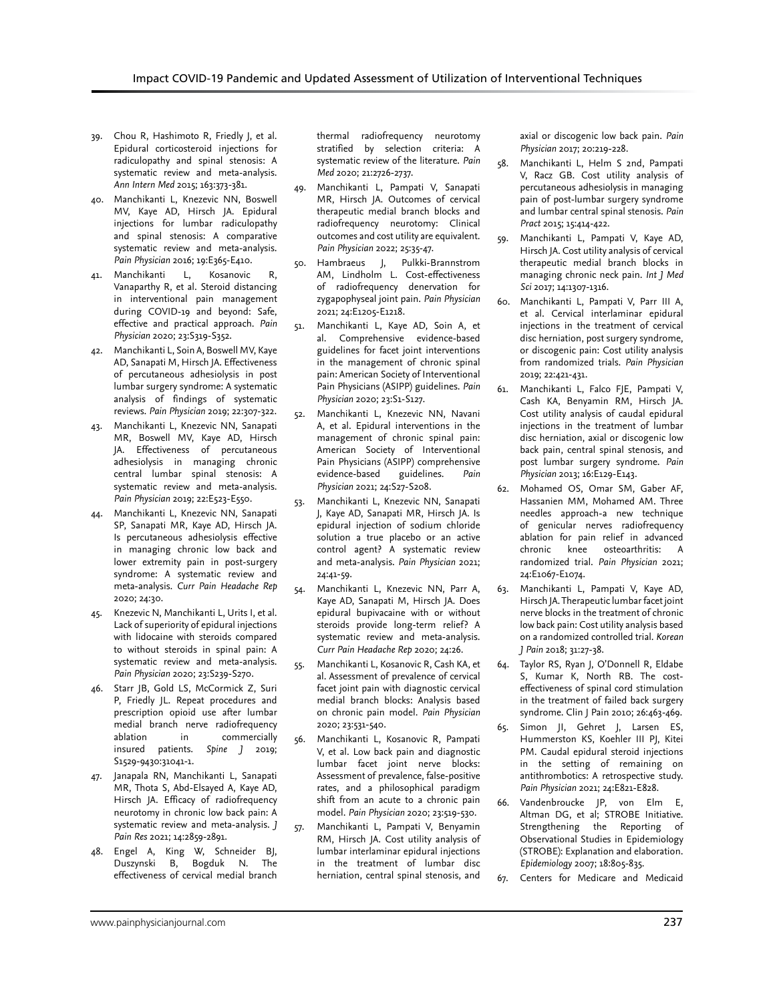- 39. Chou R, Hashimoto R, Friedly J, et al. Epidural corticosteroid injections for radiculopathy and spinal stenosis: A systematic review and meta-analysis. *Ann Intern Med* 2015; 163:373-381.
- 40. Manchikanti L, Knezevic NN, Boswell MV, Kaye AD, Hirsch JA. Epidural injections for lumbar radiculopathy and spinal stenosis: A comparative systematic review and meta-analysis. *Pain Physician* 2016; 19:E365-E410.
- 41. Manchikanti L, Kosanovic R, Vanaparthy R, et al. Steroid distancing in interventional pain management during COVID-19 and beyond: Safe, effective and practical approach. *Pain Physician* 2020; 23:S319-S352.
- 42. Manchikanti L, Soin A, Boswell MV, Kaye AD, Sanapati M, Hirsch JA. Effectiveness of percutaneous adhesiolysis in post lumbar surgery syndrome: A systematic analysis of findings of systematic reviews. *Pain Physician* 2019; 22:307-322.
- 43. Manchikanti L, Knezevic NN, Sanapati MR, Boswell MV, Kaye AD, Hirsch JA. Effectiveness of percutaneous adhesiolysis in managing chronic central lumbar spinal stenosis: A systematic review and meta-analysis. *Pain Physician* 2019; 22:E523-E550.
- 44. Manchikanti L, Knezevic NN, Sanapati SP, Sanapati MR, Kaye AD, Hirsch JA. Is percutaneous adhesiolysis effective in managing chronic low back and lower extremity pain in post-surgery syndrome: A systematic review and meta-analysis. *Curr Pain Headache Rep* 2020; 24:30.
- 45. Knezevic N, Manchikanti L, Urits I, et al. Lack of superiority of epidural injections with lidocaine with steroids compared to without steroids in spinal pain: A systematic review and meta-analysis. *Pain Physician* 2020; 23:S239-S270.
- 46. Starr JB, Gold LS, McCormick Z, Suri P, Friedly JL. Repeat procedures and prescription opioid use after lumbar medial branch nerve radiofrequency ablation in commercially insured patients. *Spine J* 2019; S1529-9430:31041-1.
- 47. Janapala RN, Manchikanti L, Sanapati MR, Thota S, Abd-Elsayed A, Kaye AD, Hirsch JA. Efficacy of radiofrequency neurotomy in chronic low back pain: A systematic review and meta-analysis. *J Pain Res* 2021; 14:2859-2891.
- 48. Engel A, King W, Schneider BJ, Duszynski B, Bogduk N. The effectiveness of cervical medial branch

thermal radiofrequency neurotomy stratified by selection criteria: A systematic review of the literature. *Pain Med* 2020; 21:2726-2737.

- 49. Manchikanti L, Pampati V, Sanapati MR, Hirsch JA. Outcomes of cervical therapeutic medial branch blocks and radiofrequency neurotomy: Clinical outcomes and cost utility are equivalent. *Pain Physician* 2022; 25:35-47.
- 50. Hambraeus J, Pulkki-Brannstrom AM, Lindholm L. Cost-effectiveness of radiofrequency denervation for zygapophyseal joint pain. *Pain Physician* 2021; 24:E1205-E1218.
- 51. Manchikanti L, Kaye AD, Soin A, et al. Comprehensive evidence-based guidelines for facet joint interventions in the management of chronic spinal pain: American Society of Interventional Pain Physicians (ASIPP) guidelines. *Pain Physician* 2020; 23:S1-S127.
- 52. Manchikanti L, Knezevic NN, Navani A, et al. Epidural interventions in the management of chronic spinal pain: American Society of Interventional Pain Physicians (ASIPP) comprehensive evidence-based guidelines. *Pain Physician* 2021; 24:S27-S208.
- 53. Manchikanti L, Knezevic NN, Sanapati J, Kaye AD, Sanapati MR, Hirsch JA. Is epidural injection of sodium chloride solution a true placebo or an active control agent? A systematic review and meta-analysis. *Pain Physician* 2021; 24:41-59.
- 54. Manchikanti L, Knezevic NN, Parr A, Kaye AD, Sanapati M, Hirsch JA. Does epidural bupivacaine with or without steroids provide long-term relief? A systematic review and meta-analysis. *Curr Pain Headache Rep* 2020; 24:26.
- 55. Manchikanti L, Kosanovic R, Cash KA, et al. Assessment of prevalence of cervical facet joint pain with diagnostic cervical medial branch blocks: Analysis based on chronic pain model. *Pain Physician* 2020; 23:531-540.
- 56. Manchikanti L, Kosanovic R, Pampati V, et al. Low back pain and diagnostic lumbar facet joint nerve blocks: Assessment of prevalence, false-positive rates, and a philosophical paradigm shift from an acute to a chronic pain model. *Pain Physician* 2020; 23:519-530.
- 57. Manchikanti L, Pampati V, Benyamin RM, Hirsch JA. Cost utility analysis of lumbar interlaminar epidural injections in the treatment of lumbar disc herniation, central spinal stenosis, and

axial or discogenic low back pain. *Pain Physician* 2017; 20:219-228.

- 58. Manchikanti L, Helm S 2nd, Pampati V, Racz GB. Cost utility analysis of percutaneous adhesiolysis in managing pain of post-lumbar surgery syndrome and lumbar central spinal stenosis. *Pain Pract* 2015; 15:414-422.
- 59. Manchikanti L, Pampati V, Kaye AD, Hirsch JA. Cost utility analysis of cervical therapeutic medial branch blocks in managing chronic neck pain. *Int J Med Sci* 2017; 14:1307-1316.
- 60. Manchikanti L, Pampati V, Parr III A, et al. Cervical interlaminar epidural injections in the treatment of cervical disc herniation, post surgery syndrome, or discogenic pain: Cost utility analysis from randomized trials. *Pain Physician* 2019; 22:421-431.
- 61. Manchikanti L, Falco FJE, Pampati V, Cash KA, Benyamin RM, Hirsch JA. Cost utility analysis of caudal epidural injections in the treatment of lumbar disc herniation, axial or discogenic low back pain, central spinal stenosis, and post lumbar surgery syndrome. *Pain Physician* 2013; 16:E129-E143.
- 62. Mohamed OS, Omar SM, Gaber AF, Hassanien MM, Mohamed AM. Three needles approach-a new technique of genicular nerves radiofrequency ablation for pain relief in advanced chronic knee osteoarthritis: A randomized trial. *Pain Physician* 2021; 24:E1067-E1074.
- 63. Manchikanti L, Pampati V, Kaye AD, Hirsch JA. Therapeutic lumbar facet joint nerve blocks in the treatment of chronic low back pain: Cost utility analysis based on a randomized controlled trial. *Korean J Pain* 2018; 31:27-38.
- 64. Taylor RS, Ryan J, O'Donnell R, Eldabe S, Kumar K, North RB. The costeffectiveness of spinal cord stimulation in the treatment of failed back surgery syndrome. Clin J Pain 2010; 26:463-469.
- 65. Simon JI, Gehret J, Larsen ES, Hummerston KS, Koehler III PJ, Kitei PM. Caudal epidural steroid injections in the setting of remaining on antithrombotics: A retrospective study. *Pain Physician* 2021; 24:E821-E828.
- 66. Vandenbroucke JP, von Elm E, Altman DG, et al; STROBE Initiative. Strengthening the Reporting of Observational Studies in Epidemiology (STROBE): Explanation and elaboration. *Epidemiology* 2007; 18:805-835.
- 67. Centers for Medicare and Medicaid